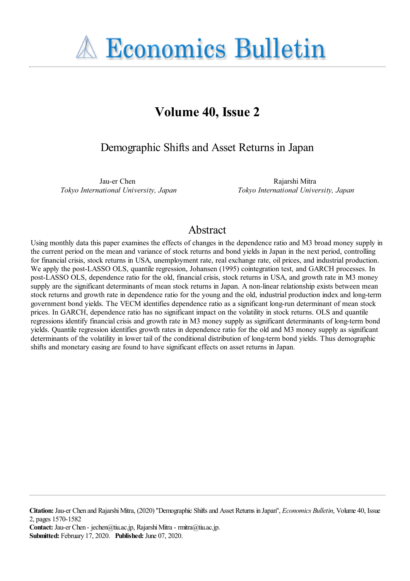**A Economics Bulletin** 

# **Volume 40, Issue 2**

Demographic Shifts and Asset Returns in Japan

Jau-er Chen *Tokyo International University, Japan*

Rajarshi Mitra *Tokyo International University, Japan*

# Abstract

Using monthly data this paper examines the effects of changes in the dependence ratio and M3 broad money supply in the current period on the mean and variance of stock returns and bond yields in Japan in the next period, controlling for financial crisis, stock returns in USA, unemployment rate, real exchange rate, oil prices, and industrial production. We apply the post-LASSO OLS, quantile regression, Johansen (1995) cointegration test, and GARCH processes. In post-LASSO OLS, dependence ratio for the old, financial crisis, stock returns in USA, and growth rate in M3 money supply are the significant determinants of mean stock returns in Japan. A non-linear relationship exists between mean stock returns and growth rate in dependence ratio for the young and the old, industrial production index and long-term government bond yields. The VECM identifies dependence ratio as a significant long-run determinant of mean stock prices. In GARCH, dependence ratio has no significant impact on the volatility in stock returns. OLS and quantile regressions identify financial crisis and growth rate in M3 money supply as significant determinants of long-term bond yields. Quantile regression identifies growth rates in dependence ratio for the old and M3 money supply as significant determinants of the volatility in lower tail of the conditional distribution of long-term bond yields. Thus demographic shifts and monetary easing are found to have significant effects on asset returns in Japan.

**Contact:** Jau-er Chen - jechen@tiu.ac.jp, Rajarshi Mitra - rmitra@tiu.ac.jp. **Submitted:** February 17, 2020. **Published:** June 07, 2020.

**Citation:** Jau-er Chen and Rajarshi Mitra, (2020) ''Demographic Shifts and Asset Returns in Japan'', *Economics Bulletin*, Volume 40, Issue 2, pages 1570-1582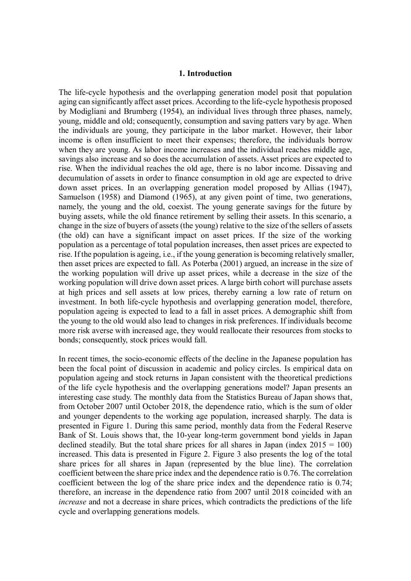# **1. Introduction**

The life-cycle hypothesis and the overlapping generation model posit that population aging can significantly affect asset prices. According to the life-cycle hypothesis proposed by Modigliani and Brumberg (1954), an individual lives through three phases, namely, young, middle and old; consequently, consumption and saving patters vary by age. When the individuals are young, they participate in the labor market. However, their labor income is often insufficient to meet their expenses; therefore, the individuals borrow when they are young. As labor income increases and the individual reaches middle age, savings also increase and so does the accumulation of assets. Asset prices are expected to rise. When the individual reaches the old age, there is no labor income. Dissaving and decumulation of assets in order to finance consumption in old age are expected to drive down asset prices. In an overlapping generation model proposed by Allias (1947), Samuelson (1958) and Diamond (1965), at any given point of time, two generations, namely, the young and the old, coexist. The young generate savings for the future by buying assets, while the old finance retirement by selling their assets. In this scenario, a change in the size of buyers of assets (the young) relative to the size of the sellers of assets (the old) can have a significant impact on asset prices. If the size of the working population as a percentage of total population increases, then asset prices are expected to rise. If the population is ageing, i.e., if the young generation is becoming relatively smaller, then asset prices are expected to fall. As Poterba (2001) argued, an increase in the size of the working population will drive up asset prices, while a decrease in the size of the working population will drive down asset prices. A large birth cohort will purchase assets at high prices and sell assets at low prices, thereby earning a low rate of return on investment. In both life-cycle hypothesis and overlapping generation model, therefore, population ageing is expected to lead to a fall in asset prices. A demographic shift from the young to the old would also lead to changes in risk preferences. If individuals become more risk averse with increased age, they would reallocate their resources from stocks to bonds; consequently, stock prices would fall.

In recent times, the socio-economic effects of the decline in the Japanese population has been the focal point of discussion in academic and policy circles. Is empirical data on population ageing and stock returns in Japan consistent with the theoretical predictions of the life cycle hypothesis and the overlapping generations model? Japan presents an interesting case study. The monthly data from the Statistics Bureau of Japan shows that, from October 2007 until October 2018, the dependence ratio, which is the sum of older and younger dependents to the working age population, increased sharply. The data is presented in Figure 1. During this same period, monthly data from the Federal Reserve Bank of St. Louis shows that, the 10-year long-term government bond yields in Japan declined steadily. But the total share prices for all shares in Japan (index  $2015 = 100$ ) increased. This data is presented in Figure 2. Figure 3 also presents the log of the total share prices for all shares in Japan (represented by the blue line). The correlation coefficient between the share price index and the dependence ratio is 0.76. The correlation coefficient between the log of the share price index and the dependence ratio is 0.74; therefore, an increase in the dependence ratio from 2007 until 2018 coincided with an *increase* and not a decrease in share prices, which contradicts the predictions of the life cycle and overlapping generations models.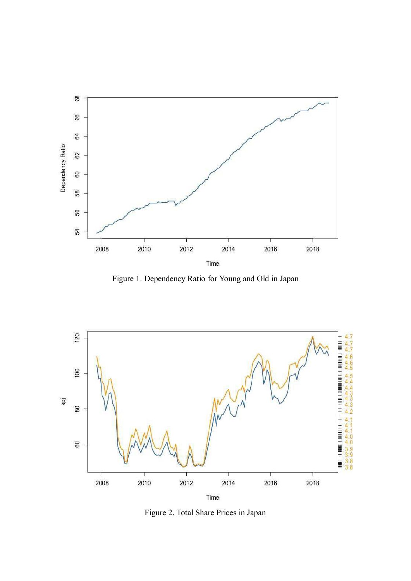

Figure 1. Dependency Ratio for Young and Old in Japan



Figure 2. Total Share Prices in Japan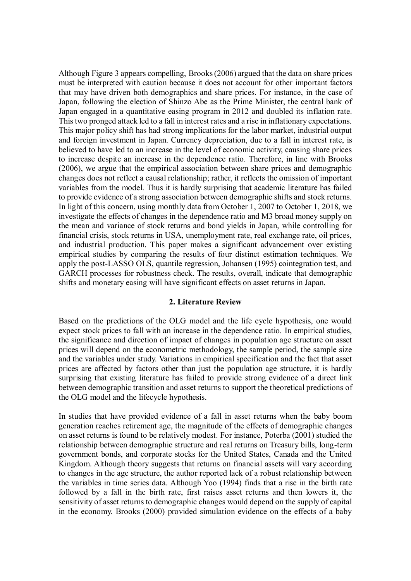Although Figure 3 appears compelling, Brooks (2006) argued that the data on share prices must be interpreted with caution because it does not account for other important factors that may have driven both demographics and share prices. For instance, in the case of Japan, following the election of Shinzo Abe as the Prime Minister, the central bank of Japan engaged in a quantitative easing program in 2012 and doubled its inflation rate. This two pronged attack led to a fall in interest rates and a rise in inflationary expectations. This major policy shift has had strong implications for the labor market, industrial output and foreign investment in Japan. Currency depreciation, due to a fall in interest rate, is believed to have led to an increase in the level of economic activity, causing share prices to increase despite an increase in the dependence ratio. Therefore, in line with Brooks (2006), we argue that the empirical association between share prices and demographic changes does not reflect a causal relationship; rather, it reflects the omission of important variables from the model. Thus it is hardly surprising that academic literature has failed to provide evidence of a strong association between demographic shifts and stock returns. In light of this concern, using monthly data from October 1, 2007 to October 1, 2018, we investigate the effects of changes in the dependence ratio and M3 broad money supply on the mean and variance of stock returns and bond yields in Japan, while controlling for financial crisis, stock returns in USA, unemployment rate, real exchange rate, oil prices, and industrial production. This paper makes a significant advancement over existing empirical studies by comparing the results of four distinct estimation techniques. We apply the post-LASSO OLS, quantile regression, Johansen (1995) cointegration test, and GARCH processes for robustness check. The results, overall, indicate that demographic shifts and monetary easing will have significant effects on asset returns in Japan.

# **2. Literature Review**

Based on the predictions of the OLG model and the life cycle hypothesis, one would expect stock prices to fall with an increase in the dependence ratio. In empirical studies, the significance and direction of impact of changes in population age structure on asset prices will depend on the econometric methodology, the sample period, the sample size and the variables under study. Variations in empirical specification and the fact that asset prices are affected by factors other than just the population age structure, it is hardly surprising that existing literature has failed to provide strong evidence of a direct link between demographic transition and asset returns to support the theoretical predictions of the OLG model and the lifecycle hypothesis.

In studies that have provided evidence of a fall in asset returns when the baby boom generation reaches retirement age, the magnitude of the effects of demographic changes on asset returns is found to be relatively modest. For instance, Poterba (2001) studied the relationship between demographic structure and real returns on Treasury bills, long-term government bonds, and corporate stocks for the United States, Canada and the United Kingdom. Although theory suggests that returns on financial assets will vary according to changes in the age structure, the author reported lack of a robust relationship between the variables in time series data. Although Yoo (1994) finds that a rise in the birth rate followed by a fall in the birth rate, first raises asset returns and then lowers it, the sensitivity of asset returns to demographic changes would depend on the supply of capital in the economy. Brooks (2000) provided simulation evidence on the effects of a baby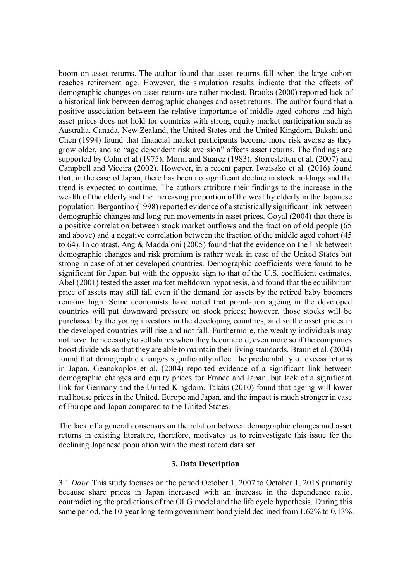boom on asset returns. The author found that asset returns fall when the large cohort reaches retirement age. However, the simulation results indicate that the effects of demographic changes on asset returns are rather modest. Brooks (2000) reported lack of a historical link between demographic changes and asset returns. The author found that a positive association between the relative importance of middle-aged cohorts and high asset prices does not hold for countries with strong equity market participation such as Australia, Canada, New Zealand, the United States and the United Kingdom. Bakshi and Chen (1994) found that financial market participants become more risk averse as they grow older, and so "age dependent risk aversion" affects asset returns. The findings are supported by Cohn et al (1975), Morin and Suarez (1983), Storresletten et al. (2007) and Campbell and Viceira (2002). However, in a recent paper, Iwaisako et al. (2016) found that, in the case of Japan, there has been no significant decline in stock holdings and the trend is expected to continue. The authors attribute their findings to the increase in the wealth of the elderly and the increasing proportion of the wealthy elderly in the Japanese population. Bergantino (1998) reported evidence of a statistically significant link between demographic changes and long-run movements in asset prices. Goyal (2004) that there is a positive correlation between stock market outflows and the fraction of old people (65 and above) and a negative correlation between the fraction of the middle aged cohort (45 to 64). In contrast, Ang & Maddaloni (2005) found that the evidence on the link between demographic changes and risk premium is rather weak in case of the United States but strong in case of other developed countries. Demographic coefficients were found to be significant for Japan but with the opposite sign to that of the U.S. coefficient estimates. Abel (2001) tested the asset market meltdown hypothesis, and found that the equilibrium price of assets may still fall even if the demand for assets by the retired baby boomers remains high. Some economists have noted that population ageing in the developed countries will put downward pressure on stock prices; however, those stocks will be purchased by the young investors in the developing countries, and so the asset prices in the developed countries will rise and not fall. Furthermore, the wealthy individuals may not have the necessity to sell shares when they become old, even more so if the companies boost dividends so that they are able to maintain their living standards. Braun et al. (2004) found that demographic changes significantly affect the predictability of excess returns in Japan. Geanakoplos et al. (2004) reported evidence of a significant link between demographic changes and equity prices for France and Japan, but lack of a significant link for Germany and the United Kingdom. Takáts (2010) found that ageing will lower real house prices in the United, Europe and Japan, and the impact is much stronger in case of Europe and Japan compared to the United States.

The lack of a general consensus on the relation between demographic changes and asset returns in existing literature, therefore, motivates us to reinvestigate this issue for the declining Japanese population with the most recent data set.

# **3. Data Description**

3.1 *Data*: This study focuses on the period October 1, 2007 to October 1, 2018 primarily because share prices in Japan increased with an increase in the dependence ratio, contradicting the predictions of the OLG model and the life cycle hypothesis. During this same period, the 10-year long-term government bond yield declined from 1.62% to 0.13%.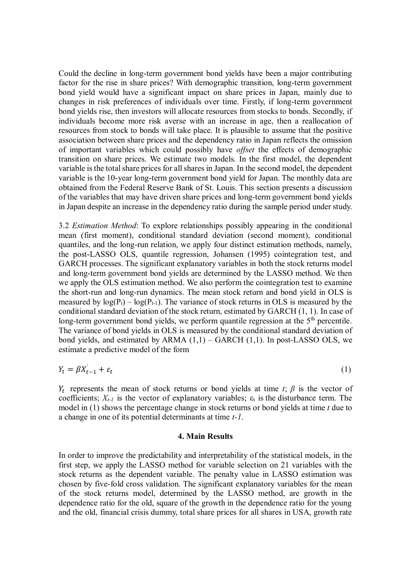Could the decline in long-term government bond yields have been a major contributing factor for the rise in share prices? With demographic transition, long-term government bond yield would have a significant impact on share prices in Japan, mainly due to changes in risk preferences of individuals over time. Firstly, if long-term government bond yields rise, then investors will allocate resources from stocks to bonds. Secondly, if individuals become more risk averse with an increase in age, then a reallocation of resources from stock to bonds will take place. It is plausible to assume that the positive association between share prices and the dependency ratio in Japan reflects the omission of important variables which could possibly have *offset* the effects of demographic transition on share prices. We estimate two models. In the first model, the dependent variable is the total share prices for all shares in Japan. In the second model, the dependent variable is the 10-year long-term government bond yield for Japan. The monthly data are obtained from the Federal Reserve Bank of St. Louis. This section presents a discussion of the variables that may have driven share prices and long-term government bond yields in Japan despite an increase in the dependency ratio during the sample period under study.

3.2 *Estimation Method*: To explore relationships possibly appearing in the conditional mean (first moment), conditional standard deviation (second moment), conditional quantiles, and the long-run relation, we apply four distinct estimation methods, namely, the post-LASSO OLS, quantile regression, Johansen (1995) cointegration test, and GARCH processes. The significant explanatory variables in both the stock returns model and long-term government bond yields are determined by the LASSO method. We then we apply the OLS estimation method. We also perform the cointegration test to examine the short-run and long-run dynamics. The mean stock return and bond yield in OLS is measured by  $log(P_t) - log(P_{t-1})$ . The variance of stock returns in OLS is measured by the conditional standard deviation of the stock return, estimated by GARCH (1, 1). In case of long-term government bond yields, we perform quantile regression at the  $5<sup>th</sup>$  percentile. The variance of bond yields in OLS is measured by the conditional standard deviation of bond yields, and estimated by ARMA  $(1,1)$  – GARCH  $(1,1)$ . In post-LASSO OLS, we estimate a predictive model of the form

$$
Y_t = \beta X_{t-1} + \varepsilon_t \tag{1}
$$

 $Y_t$  represents the mean of stock returns or bond yields at time *t*;  $\beta$  is the vector of coefficients;  $X_{t-1}$  is the vector of explanatory variables;  $\varepsilon_t$  is the disturbance term. The model in (1) shows the percentage change in stock returns or bond yields at time *t* due to a change in one of its potential determinants at time *t-1*.

#### **4. Main Results**

In order to improve the predictability and interpretability of the statistical models, in the first step, we apply the LASSO method for variable selection on 21 variables with the stock returns as the dependent variable. The penalty value in LASSO estimation was chosen by five-fold cross validation. The significant explanatory variables for the mean of the stock returns model, determined by the LASSO method, are growth in the dependence ratio for the old, square of the growth in the dependence ratio for the young and the old, financial crisis dummy, total share prices for all shares in USA, growth rate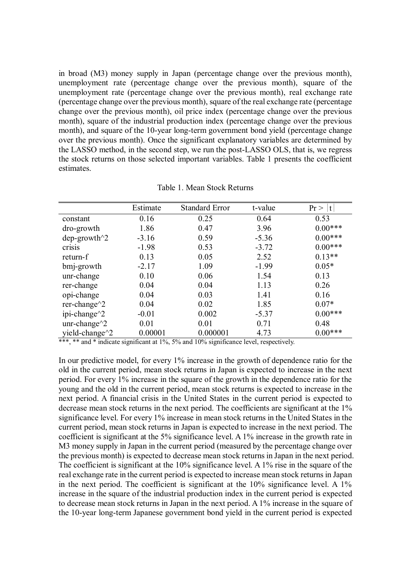in broad (M3) money supply in Japan (percentage change over the previous month), unemployment rate (percentage change over the previous month), square of the unemployment rate (percentage change over the previous month), real exchange rate (percentage change over the previous month), square of the real exchange rate (percentage change over the previous month), oil price index (percentage change over the previous month), square of the industrial production index (percentage change over the previous month), and square of the 10-year long-term government bond yield (percentage change over the previous month). Once the significant explanatory variables are determined by the LASSO method, in the second step, we run the post-LASSO OLS, that is, we regress the stock returns on those selected important variables. Table 1 presents the coefficient estimates.

|                                           | Estimate | <b>Standard Error</b> | t-value | Pr<br> t  |
|-------------------------------------------|----------|-----------------------|---------|-----------|
| constant                                  | 0.16     | 0.25                  | 0.64    | 0.53      |
| dro-growth                                | 1.86     | 0.47                  | 3.96    | $0.00***$ |
| $dep$ -growth $^2$                        | $-3.16$  | 0.59                  | $-5.36$ | $0.00***$ |
| crisis                                    | $-1.98$  | 0.53                  | $-3.72$ | $0.00***$ |
| return-f                                  | 0.13     | 0.05                  | 2.52    | $0.13**$  |
| bmj-growth                                | $-2.17$  | 1.09                  | $-1.99$ | $0.05*$   |
| unr-change                                | 0.10     | 0.06                  | 1.54    | 0.13      |
| rer-change                                | 0.04     | 0.04                  | 1.13    | 0.26      |
| opi-change                                | 0.04     | 0.03                  | 1.41    | 0.16      |
| rer-change $^{\wedge}2$                   | 0.04     | 0.02                  | 1.85    | $0.07*$   |
| ipi-change <sup><math>\land</math>2</sup> | $-0.01$  | 0.002                 | $-5.37$ | $0.00***$ |
| unr-change $\gamma$ 2                     | 0.01     | 0.01                  | 0.71    | 0.48      |
| yield-change <sup>^2</sup>                | 0.00001  | 0.000001              | 4.73    | $0.00***$ |

Table 1. Mean Stock Returns

\*\*\*, \*\* and \* indicate significant at 1%, 5% and 10% significance level, respectively.

In our predictive model, for every 1% increase in the growth of dependence ratio for the old in the current period, mean stock returns in Japan is expected to increase in the next period. For every 1% increase in the square of the growth in the dependence ratio for the young and the old in the current period, mean stock returns is expected to increase in the next period. A financial crisis in the United States in the current period is expected to decrease mean stock returns in the next period. The coefficients are significant at the 1% significance level. For every 1% increase in mean stock returns in the United States in the current period, mean stock returns in Japan is expected to increase in the next period. The coefficient is significant at the 5% significance level. A 1% increase in the growth rate in M3 money supply in Japan in the current period (measured by the percentage change over the previous month) is expected to decrease mean stock returns in Japan in the next period. The coefficient is significant at the 10% significance level. A 1% rise in the square of the real exchange rate in the current period is expected to increase mean stock returns in Japan in the next period. The coefficient is significant at the 10% significance level. A 1% increase in the square of the industrial production index in the current period is expected to decrease mean stock returns in Japan in the next period. A 1% increase in the square of the 10-year long-term Japanese government bond yield in the current period is expected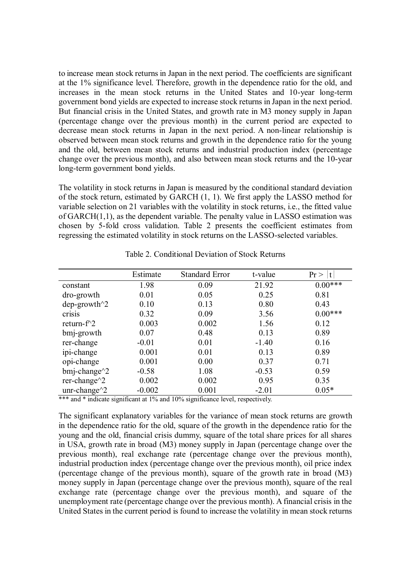to increase mean stock returns in Japan in the next period. The coefficients are significant at the 1% significance level. Therefore, growth in the dependence ratio for the old, and increases in the mean stock returns in the United States and 10-year long-term government bond yields are expected to increase stock returns in Japan in the next period. But financial crisis in the United States, and growth rate in M3 money supply in Japan (percentage change over the previous month) in the current period are expected to decrease mean stock returns in Japan in the next period. A non-linear relationship is observed between mean stock returns and growth in the dependence ratio for the young and the old, between mean stock returns and industrial production index (percentage change over the previous month), and also between mean stock returns and the 10-year long-term government bond yields.

The volatility in stock returns in Japan is measured by the conditional standard deviation of the stock return, estimated by GARCH (1, 1). We first apply the LASSO method for variable selection on 21 variables with the volatility in stock returns, i.e., the fitted value of GARCH(1,1), as the dependent variable. The penalty value in LASSO estimation was chosen by 5-fold cross validation. Table 2 presents the coefficient estimates from regressing the estimated volatility in stock returns on the LASSO-selected variables.

|                            | Estimate | <b>Standard Error</b> | t-value | Pr<br>t   |
|----------------------------|----------|-----------------------|---------|-----------|
| constant                   | 1.98     | 0.09                  | 21.92   | $0.00***$ |
| dro-growth                 | 0.01     | 0.05                  | 0.25    | 0.81      |
| $dep\text{-}growth^2$      | 0.10     | 0.13                  | 0.80    | 0.43      |
| crisis                     | 0.32     | 0.09                  | 3.56    | $0.00***$ |
| return- $f^2$              | 0.003    | 0.002                 | 1.56    | 0.12      |
| bmj-growth                 | 0.07     | 0.48                  | 0.13    | 0.89      |
| rer-change                 | $-0.01$  | 0.01                  | $-1.40$ | 0.16      |
| ipi-change                 | 0.001    | 0.01                  | 0.13    | 0.89      |
| opi-change                 | 0.001    | 0.00                  | 0.37    | 0.71      |
| $bmi$ -change $^{\wedge}2$ | $-0.58$  | 1.08                  | $-0.53$ | 0.59      |
| rer-change $\gamma$ 2      | 0.002    | 0.002                 | 0.95    | 0.35      |
| unr-change $\gamma$ 2      | $-0.002$ | 0.001                 | $-2.01$ | $0.05*$   |

Table 2. Conditional Deviation of Stock Returns

\*\*\* and \* indicate significant at 1% and 10% significance level, respectively.

The significant explanatory variables for the variance of mean stock returns are growth in the dependence ratio for the old, square of the growth in the dependence ratio for the young and the old, financial crisis dummy, square of the total share prices for all shares in USA, growth rate in broad (M3) money supply in Japan (percentage change over the previous month), real exchange rate (percentage change over the previous month), industrial production index (percentage change over the previous month), oil price index (percentage change of the previous month), square of the growth rate in broad (M3) money supply in Japan (percentage change over the previous month), square of the real exchange rate (percentage change over the previous month), and square of the unemployment rate (percentage change over the previous month). A financial crisis in the United States in the current period is found to increase the volatility in mean stock returns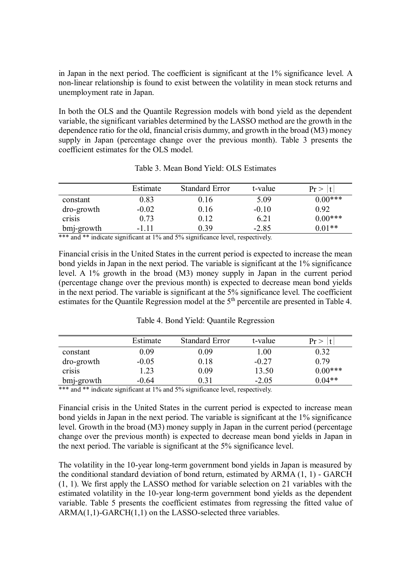in Japan in the next period. The coefficient is significant at the 1% significance level. A non-linear relationship is found to exist between the volatility in mean stock returns and unemployment rate in Japan.

In both the OLS and the Quantile Regression models with bond yield as the dependent variable, the significant variables determined by the LASSO method are the growth in the dependence ratio for the old, financial crisis dummy, and growth in the broad (M3) money supply in Japan (percentage change over the previous month). Table 3 presents the coefficient estimates for the OLS model.

|            | Estimate | <b>Standard Error</b> | t-value | $Pr$ >    |
|------------|----------|-----------------------|---------|-----------|
| constant   | 0.83     | 0.16                  | 5.09    | $0.00***$ |
| dro-growth | $-0.02$  | 0.16                  | $-0.10$ | 0.92      |
| crisis     | 0.73     | 0.12                  | 6.21    | $0.00***$ |
| bmj-growth | $-1.11$  | 0.39                  | $-2.85$ | $0.01**$  |

Table 3. Mean Bond Yield: OLS Estimates

\*\*\* and \*\* indicate significant at 1% and 5% significance level, respectively.

Financial crisis in the United States in the current period is expected to increase the mean bond yields in Japan in the next period. The variable is significant at the 1% significance level. A 1% growth in the broad (M3) money supply in Japan in the current period (percentage change over the previous month) is expected to decrease mean bond yields in the next period. The variable is significant at the 5% significance level. The coefficient estimates for the Quantile Regression model at the 5<sup>th</sup> percentile are presented in Table 4.

|            | Estimate | <b>Standard Error</b> | t-value  | Pr        |
|------------|----------|-----------------------|----------|-----------|
| constant   | 0.09     | 0.09                  | $1.00\,$ | 0.32      |
| dro-growth | $-0.05$  | 0.18                  | $-0.27$  | 0.79      |
| crisis     | 1.23     | 0.09                  | 13.50    | $0.00***$ |
| bmj-growth | $-0.64$  | 0.31                  | $-2.05$  | $0.04**$  |

Table 4. Bond Yield: Quantile Regression

\*\*\* and \*\* indicate significant at 1% and 5% significance level, respectively.

Financial crisis in the United States in the current period is expected to increase mean bond yields in Japan in the next period. The variable is significant at the 1% significance level. Growth in the broad (M3) money supply in Japan in the current period (percentage change over the previous month) is expected to decrease mean bond yields in Japan in the next period. The variable is significant at the 5% significance level.

The volatility in the 10-year long-term government bond yields in Japan is measured by the conditional standard deviation of bond return, estimated by ARMA (1, 1) - GARCH (1, 1). We first apply the LASSO method for variable selection on 21 variables with the estimated volatility in the 10-year long-term government bond yields as the dependent variable. Table 5 presents the coefficient estimates from regressing the fitted value of ARMA(1,1)-GARCH(1,1) on the LASSO-selected three variables.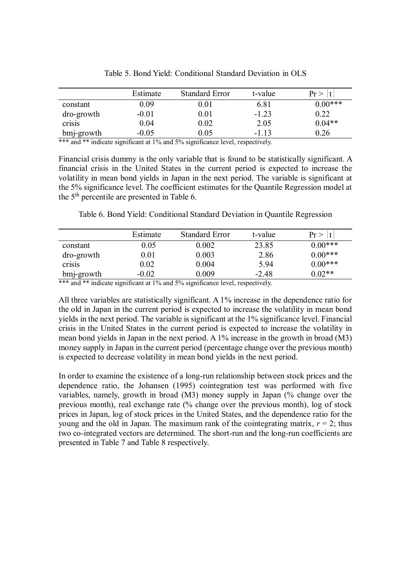|                | Estimate                                  | <b>Standard Error</b>          | t-value | $Pr$ $>$  |
|----------------|-------------------------------------------|--------------------------------|---------|-----------|
| constant       | 0.09                                      | 0.01                           | 6.81    | $0.00***$ |
| dro-growth     | $-0.01$                                   | 0.01                           | $-1.23$ | 0.22      |
| crisis         | 0.04                                      | 0.02                           | 2.05    | $0.04**$  |
| bmj-growth     | $-0.05$                                   | $0.05\,$                       | $-1.13$ | 0.26      |
| also also also | $\sim$ $\sim$ $\sim$ $\sim$ $\sim$ $\sim$ | $\cdot$ $\sim$<br>$1 - \alpha$ |         |           |

Table 5. Bond Yield: Conditional Standard Deviation in OLS

\*\*\* and \*\* indicate significant at 1% and 5% significance level, respectively.

Financial crisis dummy is the only variable that is found to be statistically significant. A financial crisis in the United States in the current period is expected to increase the volatility in mean bond yields in Japan in the next period. The variable is significant at the 5% significance level. The coefficient estimates for the Quantile Regression model at the  $5<sup>th</sup>$  percentile are presented in Table 6.

Table 6. Bond Yield: Conditional Standard Deviation in Quantile Regression

|            | Estimate | <b>Standard Error</b> | t-value | Pr        |
|------------|----------|-----------------------|---------|-----------|
| constant   | 0.05     | 0.002                 | 23.85   | $0.00***$ |
| dro-growth | $0.01\,$ | 0.003                 | 2.86    | $0.00***$ |
| crisis     | $0.02\,$ | 0.004                 | 5.94    | $0.00***$ |
| bmj-growth | $-0.02$  | 0.009                 | $-2.48$ | $0.02**$  |

\*\*\* and \*\* indicate significant at 1% and 5% significance level, respectively.

All three variables are statistically significant. A 1% increase in the dependence ratio for the old in Japan in the current period is expected to increase the volatility in mean bond yields in the next period. The variable is significant at the 1% significance level. Financial crisis in the United States in the current period is expected to increase the volatility in mean bond yields in Japan in the next period. A 1% increase in the growth in broad (M3) money supply in Japan in the current period (percentage change over the previous month) is expected to decrease volatility in mean bond yields in the next period.

In order to examine the existence of a long-run relationship between stock prices and the dependence ratio, the Johansen (1995) cointegration test was performed with five variables, namely, growth in broad (M3) money supply in Japan (% change over the previous month), real exchange rate (% change over the previous month), log of stock prices in Japan, log of stock prices in the United States, and the dependence ratio for the young and the old in Japan. The maximum rank of the cointegrating matrix,  $r = 2$ ; thus two co-integrated vectors are determined. The short-run and the long-run coefficients are presented in Table 7 and Table 8 respectively. Î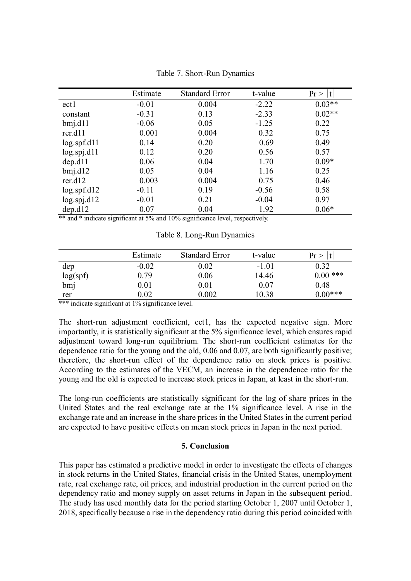|                   | Estimate | <b>Standard Error</b> | t-value | Pr<br>l t |
|-------------------|----------|-----------------------|---------|-----------|
| ect1              | $-0.01$  | 0.004                 | $-2.22$ | $0.03**$  |
| constant          | $-0.31$  | 0.13                  | $-2.33$ | $0.02**$  |
| $bmi$ .dll        | $-0.06$  | 0.05                  | $-1.25$ | 0.22      |
| rer.d11           | 0.001    | 0.004                 | 0.32    | 0.75      |
| log.split.        | 0.14     | 0.20                  | 0.69    | 0.49      |
| log.split11       | 0.12     | 0.20                  | 0.56    | 0.57      |
| dep. d11          | 0.06     | 0.04                  | 1.70    | $0.09*$   |
| $bmi$ .d $12$     | 0.05     | 0.04                  | 1.16    | 0.25      |
| rer.d12           | 0.003    | 0.004                 | 0.75    | 0.46      |
| log.spf.d12       | $-0.11$  | 0.19                  | $-0.56$ | 0.58      |
| $log.$ spj.d $12$ | $-0.01$  | 0.21                  | $-0.04$ | 0.97      |
| dep. d12          | 0.07     | 0.04                  | 1.92    | $0.06*$   |

Table 7. Short-Run Dynamics

\*\* and \* indicate significant at 5% and 10% significance level, respectively.

Table 8. Long-Run Dynamics

|          | Estimate | <b>Standard Error</b> | t-value | Pr         |
|----------|----------|-----------------------|---------|------------|
| dep      | $-0.02$  | 0.02                  | $-1.01$ | 0.32       |
| log(spf) | 0.79     | 0.06                  | 14.46   | $0.00$ *** |
| bmj      | $0.01\,$ | 0.01                  | 0.07    | 0.48       |
| rer      | $0.02\,$ | 0.002                 | 10.38   | $0.00***$  |

\*\*\* indicate significant at 1% significance level.

The short-run adjustment coefficient, ect1, has the expected negative sign. More importantly, it is statistically significant at the 5% significance level, which ensures rapid adjustment toward long-run equilibrium. The short-run coefficient estimates for the dependence ratio for the young and the old, 0.06 and 0.07, are both significantly positive; therefore, the short-run effect of the dependence ratio on stock prices is positive. According to the estimates of the VECM, an increase in the dependence ratio for the young and the old is expected to increase stock prices in Japan, at least in the short-run.

The long-run coefficients are statistically significant for the log of share prices in the United States and the real exchange rate at the 1% significance level. A rise in the exchange rate and an increase in the share prices in the United States in the current period are expected to have positive effects on mean stock prices in Japan in the next period.

# **5. Conclusion**

This paper has estimated a predictive model in order to investigate the effects of changes in stock returns in the United States, financial crisis in the United States, unemployment rate, real exchange rate, oil prices, and industrial production in the current period on the dependency ratio and money supply on asset returns in Japan in the subsequent period. The study has used monthly data for the period starting October 1, 2007 until October 1, 2018, specifically because a rise in the dependency ratio during this period coincided with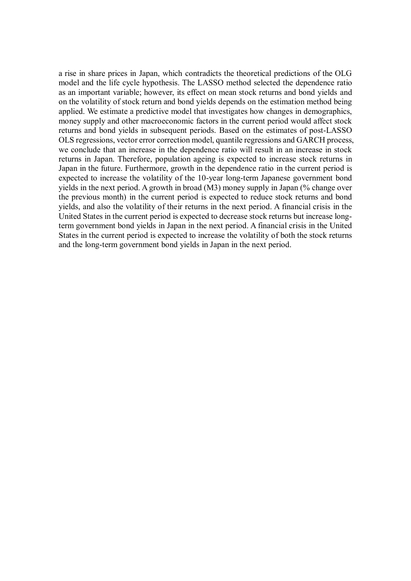a rise in share prices in Japan, which contradicts the theoretical predictions of the OLG model and the life cycle hypothesis. The LASSO method selected the dependence ratio as an important variable; however, its effect on mean stock returns and bond yields and on the volatility of stock return and bond yields depends on the estimation method being applied. We estimate a predictive model that investigates how changes in demographics, money supply and other macroeconomic factors in the current period would affect stock returns and bond yields in subsequent periods. Based on the estimates of post-LASSO OLS regressions, vector error correction model, quantile regressions and GARCH process, we conclude that an increase in the dependence ratio will result in an increase in stock returns in Japan. Therefore, population ageing is expected to increase stock returns in Japan in the future. Furthermore, growth in the dependence ratio in the current period is expected to increase the volatility of the 10-year long-term Japanese government bond yields in the next period. A growth in broad (M3) money supply in Japan (% change over the previous month) in the current period is expected to reduce stock returns and bond yields, and also the volatility of their returns in the next period. A financial crisis in the United States in the current period is expected to decrease stock returns but increase longterm government bond yields in Japan in the next period. A financial crisis in the United States in the current period is expected to increase the volatility of both the stock returns and the long-term government bond yields in Japan in the next period.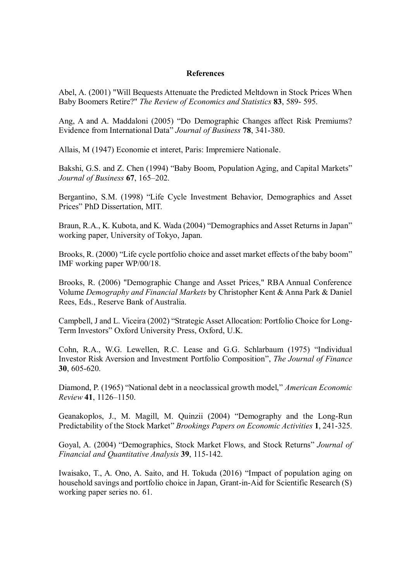# **References**

Abel, A. (2001) "Will Bequests Attenuate the Predicted Meltdown in Stock Prices When Baby Boomers Retire?" *The Review of Economics and Statistics* **83**, 589- 595.

Ang, A and A. Maddaloni (2005) "Do Demographic Changes affect Risk Premiums? Evidence from International Data" *Journal of Business* **78**, 341-380.

Allais, M (1947) Economie et interet, Paris: Impremiere Nationale.

Bakshi, G.S. and Z. Chen (1994) "Baby Boom, Population Aging, and Capital Markets" *Journal of Business* **67**, 165–202.

Bergantino, S.M. (1998) "Life Cycle Investment Behavior, Demographics and Asset Prices" PhD Dissertation, MIT.

Braun, R.A., K. Kubota, and K. Wada (2004) "Demographics and Asset Returns in Japan" working paper, University of Tokyo, Japan.

Brooks, R. (2000) "Life cycle portfolio choice and asset market effects of the baby boom" IMF working paper WP/00/18.

Brooks, R. (2006) "Demographic Change and Asset Prices," RBA Annual Conference Volume *Demography and Financial Markets* by Christopher Kent & Anna Park & Daniel Rees, Eds., Reserve Bank of Australia.

Campbell, J and L. Viceira (2002) "Strategic Asset Allocation: Portfolio Choice for Long-Term Investors" Oxford University Press, Oxford, U.K.

Cohn, R.A., W.G. Lewellen, R.C. Lease and G.G. Schlarbaum (1975) "Individual Investor Risk Aversion and Investment Portfolio Composition", *The Journal of Finance* **30**, 605-620.

Diamond, P. (1965) "National debt in a neoclassical growth model," *American Economic Review* **41**, 1126–1150.

Geanakoplos, J., M. Magill, M. Quinzii (2004) "Demography and the Long-Run Predictability of the Stock Market" *Brookings Papers on Economic Activities* **1**, 241-325.

Goyal, A. (2004) "Demographics, Stock Market Flows, and Stock Returns" *Journal of Financial and Quantitative Analysis* **39**, 115-142.

Iwaisako, T., A. Ono, A. Saito, and H. Tokuda (2016) "Impact of population aging on household savings and portfolio choice in Japan, Grant-in-Aid for Scientific Research (S) working paper series no. 61.